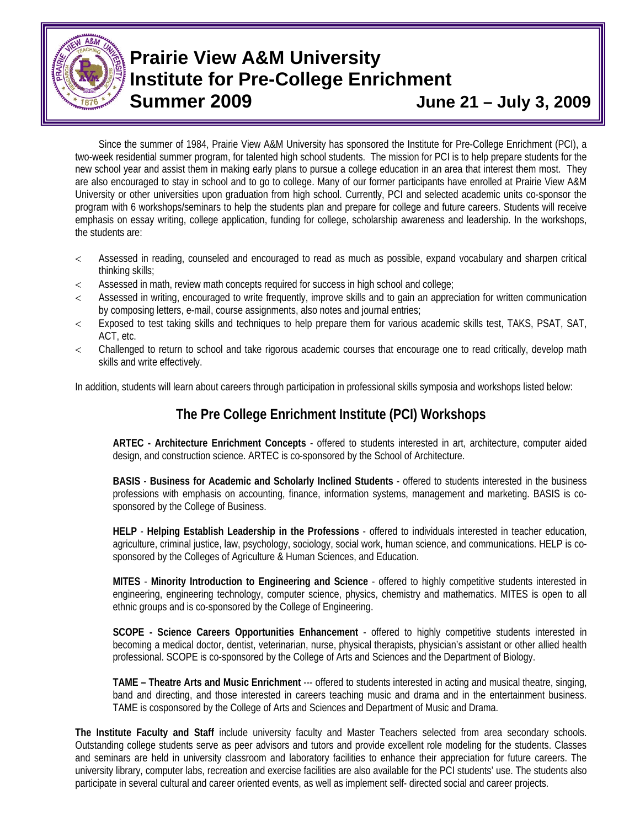

# **Prairie View A&M University Institute for Pre-College Enrichment Summer 2009 June 21 – July 3, 2009**

Since the summer of 1984, Prairie View A&M University has sponsored the Institute for Pre-College Enrichment (PCI), a two-week residential summer program, for talented high school students. The mission for PCI is to help prepare students for the new school year and assist them in making early plans to pursue a college education in an area that interest them most. They are also encouraged to stay in school and to go to college. Many of our former participants have enrolled at Prairie View A&M University or other universities upon graduation from high school. Currently, PCI and selected academic units co-sponsor the program with 6 workshops/seminars to help the students plan and prepare for college and future careers. Students will receive emphasis on essay writing, college application, funding for college, scholarship awareness and leadership. In the workshops, the students are:

- < Assessed in reading, counseled and encouraged to read as much as possible, expand vocabulary and sharpen critical thinking skills;
- < Assessed in math, review math concepts required for success in high school and college;
- < Assessed in writing, encouraged to write frequently, improve skills and to gain an appreciation for written communication by composing letters, e-mail, course assignments, also notes and journal entries;
- < Exposed to test taking skills and techniques to help prepare them for various academic skills test, TAKS, PSAT, SAT, ACT, etc.
- < Challenged to return to school and take rigorous academic courses that encourage one to read critically, develop math skills and write effectively.

In addition, students will learn about careers through participation in professional skills symposia and workshops listed below:

## **The Pre College Enrichment Institute (PCI) Workshops**

**ARTEC - Architecture Enrichment Concepts** - offered to students interested in art, architecture, computer aided design, and construction science. ARTEC is co-sponsored by the School of Architecture.

**BASIS** - **Business for Academic and Scholarly Inclined Students** - offered to students interested in the business professions with emphasis on accounting, finance, information systems, management and marketing. BASIS is cosponsored by the College of Business.

**HELP** - **Helping Establish Leadership in the Professions** - offered to individuals interested in teacher education, agriculture, criminal justice, law, psychology, sociology, social work, human science, and communications. HELP is cosponsored by the Colleges of Agriculture & Human Sciences, and Education.

**MITES** - **Minority Introduction to Engineering and Science** - offered to highly competitive students interested in engineering, engineering technology, computer science, physics, chemistry and mathematics. MITES is open to all ethnic groups and is co-sponsored by the College of Engineering.

**SCOPE - Science Careers Opportunities Enhancement** - offered to highly competitive students interested in becoming a medical doctor, dentist, veterinarian, nurse, physical therapists, physician's assistant or other allied health professional. SCOPE is co-sponsored by the College of Arts and Sciences and the Department of Biology.

**TAME – Theatre Arts and Music Enrichment** --- offered to students interested in acting and musical theatre, singing, band and directing, and those interested in careers teaching music and drama and in the entertainment business. TAME is cosponsored by the College of Arts and Sciences and Department of Music and Drama.

**The Institute Faculty and Staff** include university faculty and Master Teachers selected from area secondary schools. Outstanding college students serve as peer advisors and tutors and provide excellent role modeling for the students. Classes and seminars are held in university classroom and laboratory facilities to enhance their appreciation for future careers. The university library, computer labs, recreation and exercise facilities are also available for the PCI students' use. The students also participate in several cultural and career oriented events, as well as implement self- directed social and career projects.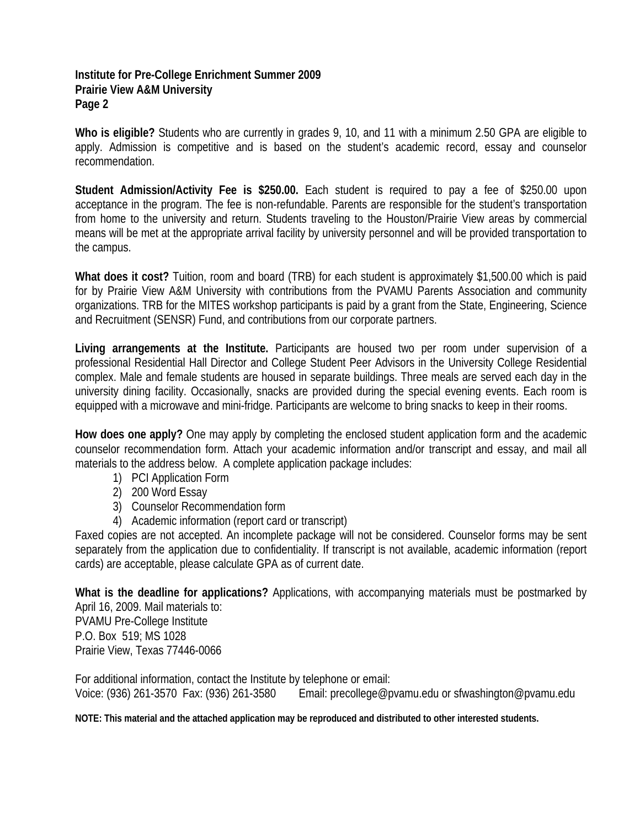#### **Institute for Pre-College Enrichment Summer 2009 Prairie View A&M University Page 2**

**Who is eligible?** Students who are currently in grades 9, 10, and 11 with a minimum 2.50 GPA are eligible to apply. Admission is competitive and is based on the student's academic record, essay and counselor recommendation.

**Student Admission/Activity Fee is \$250.00.** Each student is required to pay a fee of \$250.00 upon acceptance in the program. The fee is non-refundable. Parents are responsible for the student's transportation from home to the university and return. Students traveling to the Houston/Prairie View areas by commercial means will be met at the appropriate arrival facility by university personnel and will be provided transportation to the campus.

**What does it cost?** Tuition, room and board (TRB) for each student is approximately \$1,500.00 which is paid for by Prairie View A&M University with contributions from the PVAMU Parents Association and community organizations. TRB for the MITES workshop participants is paid by a grant from the State, Engineering, Science and Recruitment (SENSR) Fund, and contributions from our corporate partners.

**Living arrangements at the Institute.** Participants are housed two per room under supervision of a professional Residential Hall Director and College Student Peer Advisors in the University College Residential complex. Male and female students are housed in separate buildings. Three meals are served each day in the university dining facility. Occasionally, snacks are provided during the special evening events. Each room is equipped with a microwave and mini-fridge. Participants are welcome to bring snacks to keep in their rooms.

**How does one apply?** One may apply by completing the enclosed student application form and the academic counselor recommendation form. Attach your academic information and/or transcript and essay, and mail all materials to the address below. A complete application package includes:

- 1) PCI Application Form
- 2) 200 Word Essay
- 3) Counselor Recommendation form
- 4) Academic information (report card or transcript)

Faxed copies are not accepted. An incomplete package will not be considered. Counselor forms may be sent separately from the application due to confidentiality. If transcript is not available, academic information (report cards) are acceptable, please calculate GPA as of current date.

**What is the deadline for applications?** Applications, with accompanying materials must be postmarked by April 16, 2009. Mail materials to: PVAMU Pre-College Institute P.O. Box 519; MS 1028 Prairie View, Texas 77446-0066

For additional information, contact the Institute by telephone or email: Voice: (936) 261-3570 Fax: (936) 261-3580 Email: precollege@pvamu.edu or sfwashington@pvamu.edu

**NOTE: This material and the attached application may be reproduced and distributed to other interested students.**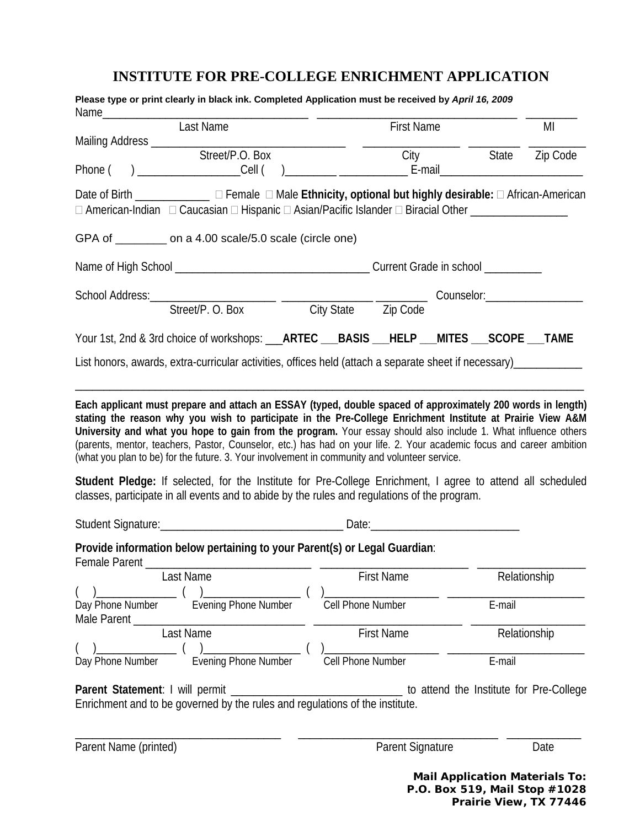### **INSTITUTE FOR PRE-COLLEGE ENRICHMENT APPLICATION**

| Please type or print clearly in black ink. Completed Application must be received by April 16, 2009<br>Name<br>Last Name                                                                                                                                                                                                                                                                                                             |                   | <b>First Name</b>                                                                                                              |  |              |      |
|--------------------------------------------------------------------------------------------------------------------------------------------------------------------------------------------------------------------------------------------------------------------------------------------------------------------------------------------------------------------------------------------------------------------------------------|-------------------|--------------------------------------------------------------------------------------------------------------------------------|--|--------------|------|
| Mailing Address ___________                                                                                                                                                                                                                                                                                                                                                                                                          |                   |                                                                                                                                |  |              | MI   |
| Street/P.O. Box<br>Phone (                                                                                                                                                                                                                                                                                                                                                                                                           |                   | State Zip Code<br>City<br>) _____________________Cell (  )__________ _____________________E-mail______________________________ |  |              |      |
| Date of Birth _______________ □ Female □ Male Ethnicity, optional but highly desirable: □ African-American<br>□ American-Indian □ Caucasian □ Hispanic □ Asian/Pacific Islander □ Biracial Other ________________                                                                                                                                                                                                                    |                   |                                                                                                                                |  |              |      |
| GPA of ________ on a 4.00 scale/5.0 scale (circle one)                                                                                                                                                                                                                                                                                                                                                                               |                   |                                                                                                                                |  |              |      |
|                                                                                                                                                                                                                                                                                                                                                                                                                                      |                   |                                                                                                                                |  |              |      |
| School Address: Street/P. O. Box City State Zip Code Counselor: Conselor: Counselor:                                                                                                                                                                                                                                                                                                                                                 |                   |                                                                                                                                |  |              |      |
| Your 1st, 2nd & 3rd choice of workshops: __ARTEC __BASIS __HELP __MITES __SCOPE __TAME                                                                                                                                                                                                                                                                                                                                               |                   |                                                                                                                                |  |              |      |
| List honors, awards, extra-curricular activities, offices held (attach a separate sheet if necessary)                                                                                                                                                                                                                                                                                                                                |                   |                                                                                                                                |  |              |      |
| (parents, mentor, teachers, Pastor, Counselor, etc.) has had on your life. 2. Your academic focus and career ambition<br>(what you plan to be) for the future. 3. Your involvement in community and volunteer service.<br>Student Pledge: If selected, for the Institute for Pre-College Enrichment, I agree to attend all scheduled<br>classes, participate in all events and to abide by the rules and regulations of the program. |                   |                                                                                                                                |  |              |      |
|                                                                                                                                                                                                                                                                                                                                                                                                                                      |                   |                                                                                                                                |  |              |      |
| Provide information below pertaining to your Parent(s) or Legal Guardian:                                                                                                                                                                                                                                                                                                                                                            |                   |                                                                                                                                |  |              |      |
| Female Parent_<br>Last Name                                                                                                                                                                                                                                                                                                                                                                                                          |                   | <b>First Name</b>                                                                                                              |  | Relationship |      |
| $\begin{picture}(20,20)(-0.0,0.0) \put(0,0){\line(1,0){10}} \put(15,0){\line(1,0){10}} \put(15,0){\line(1,0){10}} \put(15,0){\line(1,0){10}} \put(15,0){\line(1,0){10}} \put(15,0){\line(1,0){10}} \put(15,0){\line(1,0){10}} \put(15,0){\line(1,0){10}} \put(15,0){\line(1,0){10}} \put(15,0){\line(1,0){10}} \put(15,0){\line(1,0){10}} \put($<br>Day Phone Number \ Evening Phone Number                                          | Cell Phone Number |                                                                                                                                |  | $E$ -mail    |      |
| Last Name                                                                                                                                                                                                                                                                                                                                                                                                                            |                   | First Name                                                                                                                     |  | Relationship |      |
| Day Phone Number Evening Phone Number                                                                                                                                                                                                                                                                                                                                                                                                | Cell Phone Number |                                                                                                                                |  | E-mail       |      |
| Parent Statement: I will permit ___________________________________ to attend the Institute for Pre-College<br>Enrichment and to be governed by the rules and regulations of the institute.                                                                                                                                                                                                                                          |                   |                                                                                                                                |  |              |      |
| Parent Name (printed)                                                                                                                                                                                                                                                                                                                                                                                                                |                   | Parent Signature                                                                                                               |  |              | Date |